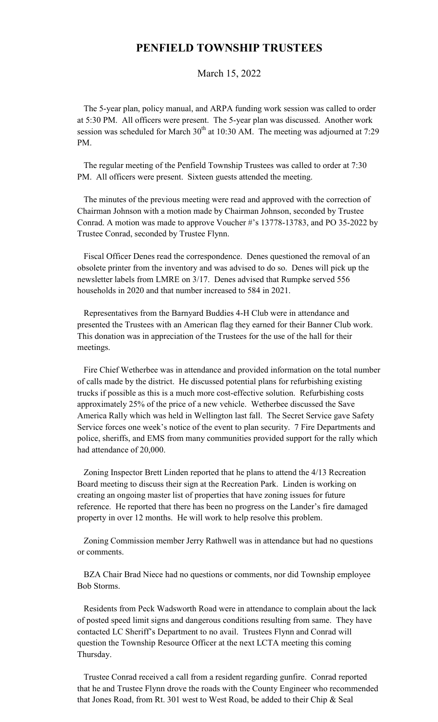## **PENFIELD TOWNSHIP TRUSTEES**

March 15, 2022

 The 5-year plan, policy manual, and ARPA funding work session was called to order at 5:30 PM. All officers were present. The 5-year plan was discussed. Another work session was scheduled for March  $30<sup>th</sup>$  at 10:30 AM. The meeting was adjourned at 7:29 PM.

 The regular meeting of the Penfield Township Trustees was called to order at 7:30 PM. All officers were present. Sixteen guests attended the meeting.

 The minutes of the previous meeting were read and approved with the correction of Chairman Johnson with a motion made by Chairman Johnson, seconded by Trustee Conrad. A motion was made to approve Voucher #'s 13778-13783, and PO 35-2022 by Trustee Conrad, seconded by Trustee Flynn.

 Fiscal Officer Denes read the correspondence. Denes questioned the removal of an obsolete printer from the inventory and was advised to do so. Denes will pick up the newsletter labels from LMRE on 3/17. Denes advised that Rumpke served 556 households in 2020 and that number increased to 584 in 2021.

 Representatives from the Barnyard Buddies 4-H Club were in attendance and presented the Trustees with an American flag they earned for their Banner Club work. This donation was in appreciation of the Trustees for the use of the hall for their meetings.

 Fire Chief Wetherbee was in attendance and provided information on the total number of calls made by the district. He discussed potential plans for refurbishing existing trucks if possible as this is a much more cost-effective solution. Refurbishing costs approximately 25% of the price of a new vehicle. Wetherbee discussed the Save America Rally which was held in Wellington last fall. The Secret Service gave Safety Service forces one week's notice of the event to plan security. 7 Fire Departments and police, sheriffs, and EMS from many communities provided support for the rally which had attendance of 20,000.

 Zoning Inspector Brett Linden reported that he plans to attend the 4/13 Recreation Board meeting to discuss their sign at the Recreation Park. Linden is working on creating an ongoing master list of properties that have zoning issues for future reference. He reported that there has been no progress on the Lander's fire damaged property in over 12 months. He will work to help resolve this problem.

 Zoning Commission member Jerry Rathwell was in attendance but had no questions or comments.

 BZA Chair Brad Niece had no questions or comments, nor did Township employee Bob Storms.

 Residents from Peck Wadsworth Road were in attendance to complain about the lack of posted speed limit signs and dangerous conditions resulting from same. They have contacted LC Sheriff's Department to no avail. Trustees Flynn and Conrad will question the Township Resource Officer at the next LCTA meeting this coming Thursday.

 Trustee Conrad received a call from a resident regarding gunfire. Conrad reported that he and Trustee Flynn drove the roads with the County Engineer who recommended that Jones Road, from Rt. 301 west to West Road, be added to their Chip & Seal